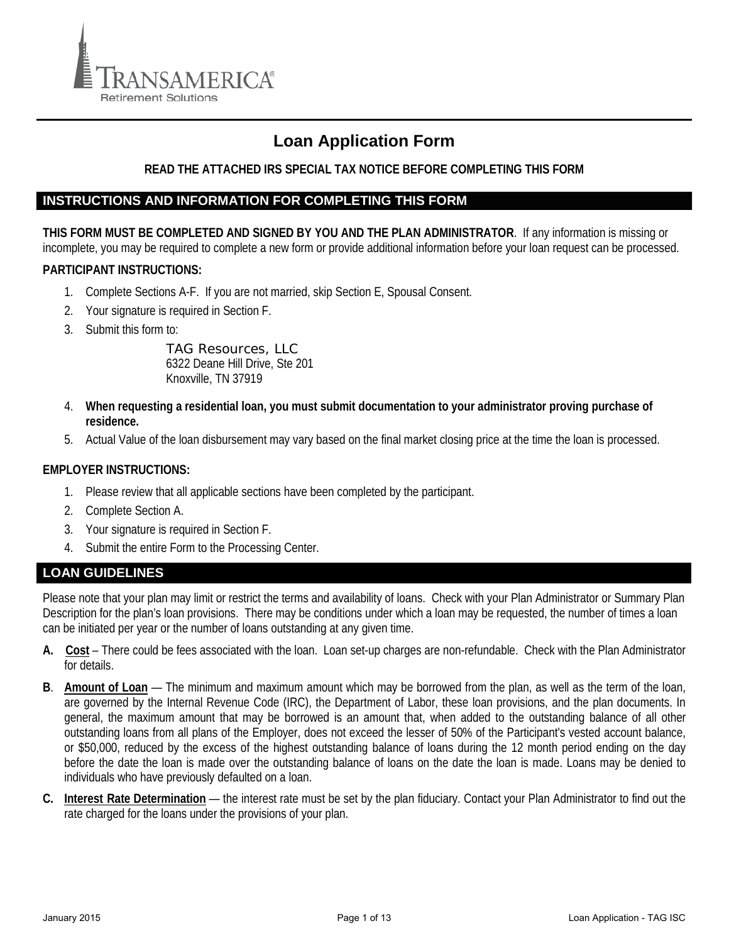

# **Loan Application Form**

## **READ THE ATTACHED IRS SPECIAL TAX NOTICE BEFORE COMPLETING THIS FORM**

### **INSTRUCTIONS AND INFORMATION FOR COMPLETING THIS FORM**

**THIS FORM MUST BE COMPLETED AND SIGNED BY YOU AND THE PLAN ADMINISTRATOR**. If any information is missing or incomplete, you may be required to complete a new form or provide additional information before your loan request can be processed.

### **PARTICIPANT INSTRUCTIONS:**

- 1. Complete Sections A-F. If you are not married, skip Section E, Spousal Consent.
- 2. Your signature is required in Section F.
- 3. Submit this form to:

TAG Resources, LLC 6322 Deane Hill Drive, Ste 201 Knoxville, TN 37919

- 4. **When requesting a residential loan, you must submit documentation to your administrator proving purchase of residence.**
- 5. Actual Value of the loan disbursement may vary based on the final market closing price at the time the loan is processed.

### **EMPLOYER INSTRUCTIONS:**

- 1. Please review that all applicable sections have been completed by the participant.
- 2. Complete Section A.
- 3. Your signature is required in Section F.
- 4. Submit the entire Form to the Processing Center.

## **LOAN GUIDELINES**

Please note that your plan may limit or restrict the terms and availability of loans. Check with your Plan Administrator or Summary Plan Description for the plan's loan provisions. There may be conditions under which a loan may be requested, the number of times a loan can be initiated per year or the number of loans outstanding at any given time.

- **A. Cost** There could be fees associated with the loan. Loan set-up charges are non-refundable. Check with the Plan Administrator for details.
- **B**. **Amount of Loan** The minimum and maximum amount which may be borrowed from the plan, as well as the term of the loan, are governed by the Internal Revenue Code (IRC), the Department of Labor, these loan provisions, and the plan documents. In general, the maximum amount that may be borrowed is an amount that, when added to the outstanding balance of all other outstanding loans from all plans of the Employer, does not exceed the lesser of 50% of the Participant's vested account balance, or \$50,000, reduced by the excess of the highest outstanding balance of loans during the 12 month period ending on the day before the date the loan is made over the outstanding balance of loans on the date the loan is made. Loans may be denied to individuals who have previously defaulted on a loan.
- **C. Interest Rate Determination** the interest rate must be set by the plan fiduciary. Contact your Plan Administrator to find out the rate charged for the loans under the provisions of your plan.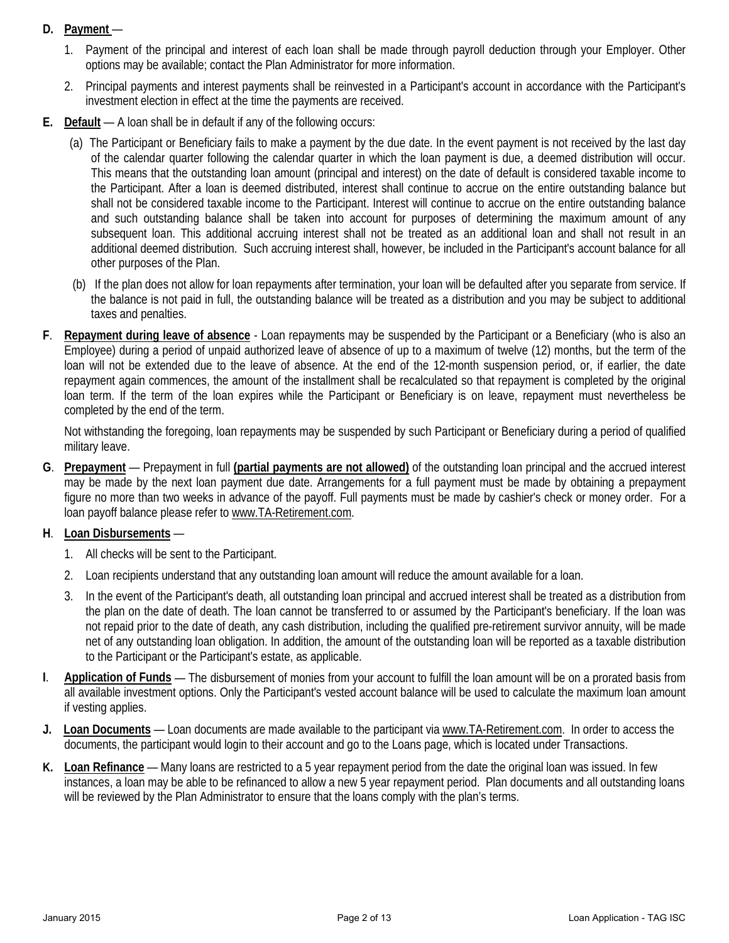# **D. Payment** —

- 1. Payment of the principal and interest of each loan shall be made through payroll deduction through your Employer. Other options may be available; contact the Plan Administrator for more information.
- 2. Principal payments and interest payments shall be reinvested in a Participant's account in accordance with the Participant's investment election in effect at the time the payments are received.
- **E. Default** A loan shall be in default if any of the following occurs:
	- (a) The Participant or Beneficiary fails to make a payment by the due date. In the event payment is not received by the last day of the calendar quarter following the calendar quarter in which the loan payment is due, a deemed distribution will occur. This means that the outstanding loan amount (principal and interest) on the date of default is considered taxable income to the Participant. After a loan is deemed distributed, interest shall continue to accrue on the entire outstanding balance but shall not be considered taxable income to the Participant. Interest will continue to accrue on the entire outstanding balance and such outstanding balance shall be taken into account for purposes of determining the maximum amount of any subsequent loan. This additional accruing interest shall not be treated as an additional loan and shall not result in an additional deemed distribution. Such accruing interest shall, however, be included in the Participant's account balance for all other purposes of the Plan.
	- (b) If the plan does not allow for loan repayments after termination, your loan will be defaulted after you separate from service. If the balance is not paid in full, the outstanding balance will be treated as a distribution and you may be subject to additional taxes and penalties.
- **F**. **Repayment during leave of absence** Loan repayments may be suspended by the Participant or a Beneficiary (who is also an Employee) during a period of unpaid authorized leave of absence of up to a maximum of twelve (12) months, but the term of the loan will not be extended due to the leave of absence. At the end of the 12-month suspension period, or, if earlier, the date repayment again commences, the amount of the installment shall be recalculated so that repayment is completed by the original loan term. If the term of the loan expires while the Participant or Beneficiary is on leave, repayment must nevertheless be completed by the end of the term.

Not withstanding the foregoing, loan repayments may be suspended by such Participant or Beneficiary during a period of qualified military leave.

**G**. **Prepayment** — Prepayment in full **(partial payments are not allowed)** of the outstanding loan principal and the accrued interest may be made by the next loan payment due date. Arrangements for a full payment must be made by obtaining a prepayment figure no more than two weeks in advance of the payoff. Full payments must be made by cashier's check or money order. For a loan payoff balance please refer to [www.TA-Retirement.com.](http://www.ta-retirement.com/)

## **H**. **Loan Disbursements** —

- 1. All checks will be sent to the Participant.
- 2. Loan recipients understand that any outstanding loan amount will reduce the amount available for a loan.
- 3. In the event of the Participant's death, all outstanding loan principal and accrued interest shall be treated as a distribution from the plan on the date of death. The loan cannot be transferred to or assumed by the Participant's beneficiary. If the loan was not repaid prior to the date of death, any cash distribution, including the qualified pre-retirement survivor annuity, will be made net of any outstanding loan obligation. In addition, the amount of the outstanding loan will be reported as a taxable distribution to the Participant or the Participant's estate, as applicable.
- **I**. **Application of Funds** The disbursement of monies from your account to fulfill the loan amount will be on a prorated basis from all available investment options. Only the Participant's vested account balance will be used to calculate the maximum loan amount if vesting applies.
- **J. Loan Documents** Loan documents are made available to the participant via [www.TA-Retirement.com.](http://www.ta-retirement.com/) In order to access the documents, the participant would login to their account and go to the Loans page, which is located under Transactions.
- **K. Loan Refinance** Many loans are restricted to a 5 year repayment period from the date the original loan was issued. In few instances, a loan may be able to be refinanced to allow a new 5 year repayment period. Plan documents and all outstanding loans will be reviewed by the Plan Administrator to ensure that the loans comply with the plan's terms.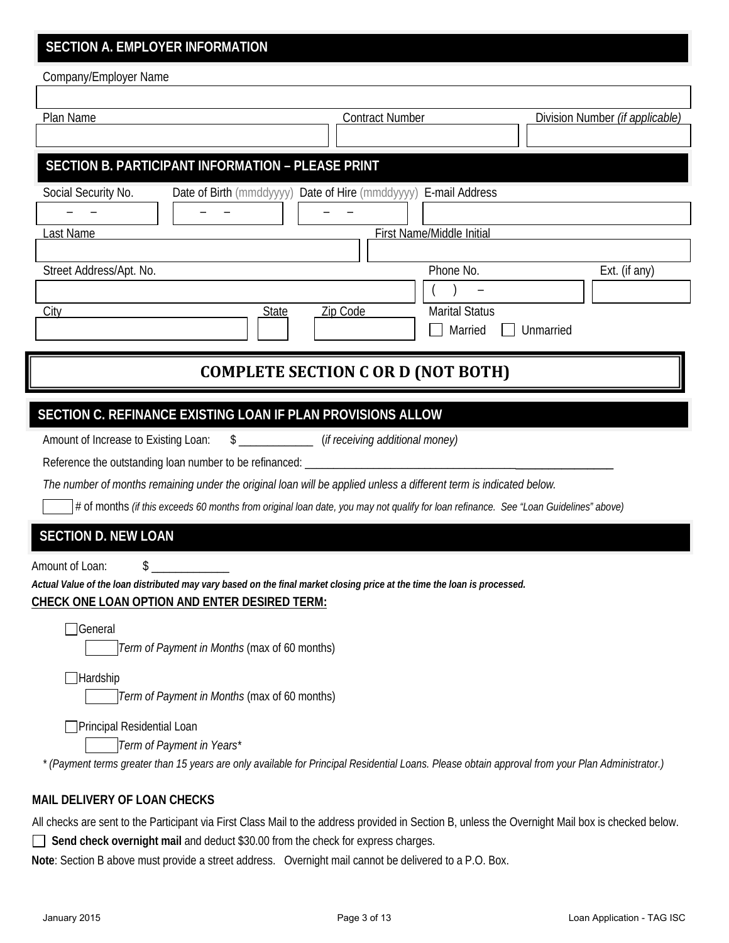# **SECTION A. EMPLOYER INFORMATION**

Company/Employer Name

r

| Plan Name                                                                                                                                         | <b>Contract Number</b><br>Division Number (if applicable)       |               |  |  |  |
|---------------------------------------------------------------------------------------------------------------------------------------------------|-----------------------------------------------------------------|---------------|--|--|--|
|                                                                                                                                                   |                                                                 |               |  |  |  |
| SECTION B. PARTICIPANT INFORMATION - PLEASE PRINT                                                                                                 |                                                                 |               |  |  |  |
| Social Security No.                                                                                                                               | Date of Birth (mmddyyyy) Date of Hire (mmddyyyy) E-mail Address |               |  |  |  |
|                                                                                                                                                   |                                                                 |               |  |  |  |
| <u>ast Name</u>                                                                                                                                   | First Name/Middle Initial                                       |               |  |  |  |
| Street Address/Apt. No.                                                                                                                           | Phone No.                                                       | Ext. (if any) |  |  |  |
|                                                                                                                                                   |                                                                 |               |  |  |  |
| <b>State</b><br>City                                                                                                                              | <b>Marital Status</b><br>Zip Code                               |               |  |  |  |
|                                                                                                                                                   | Married                                                         | Unmarried     |  |  |  |
|                                                                                                                                                   |                                                                 |               |  |  |  |
| <b>COMPLETE SECTION C OR D (NOT BOTH)</b>                                                                                                         |                                                                 |               |  |  |  |
|                                                                                                                                                   |                                                                 |               |  |  |  |
| SECTION C. REFINANCE EXISTING LOAN IF PLAN PROVISIONS ALLOW                                                                                       |                                                                 |               |  |  |  |
| Amount of Increase to Existing Loan:                                                                                                              | \$ ________________(if receiving additional money)              |               |  |  |  |
|                                                                                                                                                   |                                                                 |               |  |  |  |
| The number of months remaining under the original loan will be applied unless a different term is indicated below.                                |                                                                 |               |  |  |  |
| # of months (if this exceeds 60 months from original loan date, you may not qualify for loan refinance. See "Loan Guidelines" above)              |                                                                 |               |  |  |  |
| <b>SECTION D. NEW LOAN</b>                                                                                                                        |                                                                 |               |  |  |  |
| Amount of Loan:                                                                                                                                   |                                                                 |               |  |  |  |
| Actual Value of the loan distributed may vary based on the final market closing price at the time the loan is processed.                          |                                                                 |               |  |  |  |
| <b>CHECK ONE LOAN OPTION AND ENTER DESIRED TERM:</b>                                                                                              |                                                                 |               |  |  |  |
| $\Box$ General                                                                                                                                    |                                                                 |               |  |  |  |
| Term of Payment in Months (max of 60 months)                                                                                                      |                                                                 |               |  |  |  |
| $\Box$ Hardship                                                                                                                                   |                                                                 |               |  |  |  |
| Term of Payment in Months (max of 60 months)                                                                                                      |                                                                 |               |  |  |  |
| Principal Residential Loan                                                                                                                        |                                                                 |               |  |  |  |
| Term of Payment in Years*                                                                                                                         |                                                                 |               |  |  |  |
| * (Payment terms greater than 15 years are only available for Principal Residential Loans. Please obtain approval from your Plan Administrator.)  |                                                                 |               |  |  |  |
| MAIL DELIVERY OF LOAN CHECKS                                                                                                                      |                                                                 |               |  |  |  |
| All checks are sent to the Participant via First Class Mail to the address provided in Section B, unless the Overnight Mail box is checked below. |                                                                 |               |  |  |  |

**Send check overnight mail** and deduct \$30.00 from the check for express charges.

**Note**: Section B above must provide a street address. Overnight mail cannot be delivered to a P.O. Box.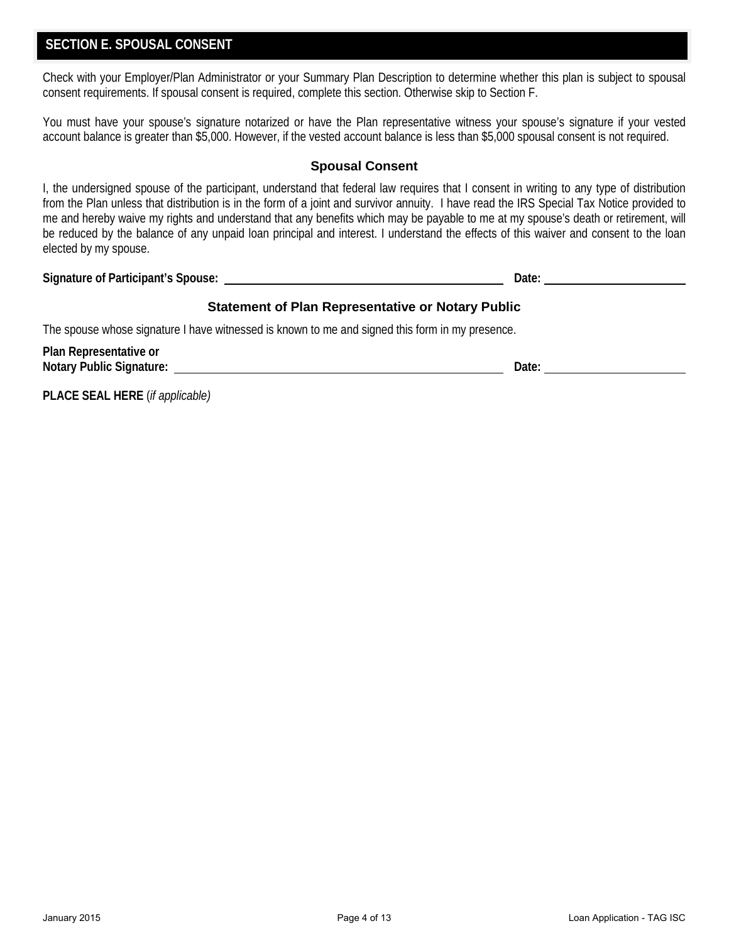## **SECTION E. SPOUSAL CONSENT**

Check with your Employer/Plan Administrator or your Summary Plan Description to determine whether this plan is subject to spousal consent requirements. If spousal consent is required, complete this section. Otherwise skip to Section F.

You must have your spouse's signature notarized or have the Plan representative witness your spouse's signature if your vested account balance is greater than \$5,000. However, if the vested account balance is less than \$5,000 spousal consent is not required.

### **Spousal Consent**

I, the undersigned spouse of the participant, understand that federal law requires that I consent in writing to any type of distribution from the Plan unless that distribution is in the form of a joint and survivor annuity. I have read the IRS Special Tax Notice provided to me and hereby waive my rights and understand that any benefits which may be payable to me at my spouse's death or retirement, will be reduced by the balance of any unpaid loan principal and interest. I understand the effects of this waiver and consent to the loan elected by my spouse.

**Signature of Participant's Spouse: Date:** 

### **Statement of Plan Representative or Notary Public**

The spouse whose signature I have witnessed is known to me and signed this form in my presence.

| Plan Representative or          |       |  |
|---------------------------------|-------|--|
| <b>Notary Public Signature:</b> | Date: |  |
|                                 |       |  |

**PLACE SEAL HERE** (*if applicable)*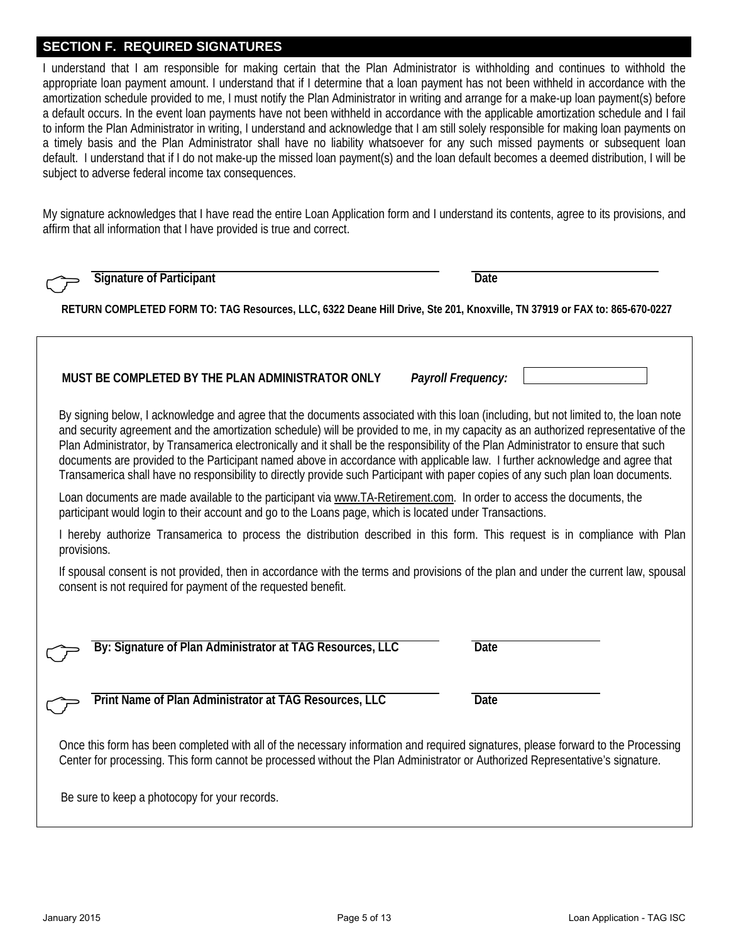### **SECTION F. REQUIRED SIGNATURES**

I understand that I am responsible for making certain that the Plan Administrator is withholding and continues to withhold the appropriate loan payment amount. I understand that if I determine that a loan payment has not been withheld in accordance with the amortization schedule provided to me, I must notify the Plan Administrator in writing and arrange for a make-up loan payment(s) before a default occurs. In the event loan payments have not been withheld in accordance with the applicable amortization schedule and I fail to inform the Plan Administrator in writing, I understand and acknowledge that I am still solely responsible for making loan payments on a timely basis and the Plan Administrator shall have no liability whatsoever for any such missed payments or subsequent loan default. I understand that if I do not make-up the missed loan payment(s) and the loan default becomes a deemed distribution, I will be subject to adverse federal income tax consequences.

My signature acknowledges that I have read the entire Loan Application form and I understand its contents, agree to its provisions, and affirm that all information that I have provided is true and correct.

|                                                                                                                                                                                                                                                                                                                                                                                                                                                                                                                                                                                                                                                                                          | <b>Signature of Participant</b>                                                                                           | <b>Date</b>        |  |  |
|------------------------------------------------------------------------------------------------------------------------------------------------------------------------------------------------------------------------------------------------------------------------------------------------------------------------------------------------------------------------------------------------------------------------------------------------------------------------------------------------------------------------------------------------------------------------------------------------------------------------------------------------------------------------------------------|---------------------------------------------------------------------------------------------------------------------------|--------------------|--|--|
|                                                                                                                                                                                                                                                                                                                                                                                                                                                                                                                                                                                                                                                                                          | RETURN COMPLETED FORM TO: TAG Resources, LLC, 6322 Deane Hill Drive, Ste 201, Knoxville, TN 37919 or FAX to: 865-670-0227 |                    |  |  |
|                                                                                                                                                                                                                                                                                                                                                                                                                                                                                                                                                                                                                                                                                          | MUST BE COMPLETED BY THE PLAN ADMINISTRATOR ONLY                                                                          | Payroll Frequency: |  |  |
| By signing below, I acknowledge and agree that the documents associated with this loan (including, but not limited to, the loan note<br>and security agreement and the amortization schedule) will be provided to me, in my capacity as an authorized representative of the<br>Plan Administrator, by Transamerica electronically and it shall be the responsibility of the Plan Administrator to ensure that such<br>documents are provided to the Participant named above in accordance with applicable law. I further acknowledge and agree that<br>Transamerica shall have no responsibility to directly provide such Participant with paper copies of any such plan loan documents. |                                                                                                                           |                    |  |  |
| Loan documents are made available to the participant via www.TA-Retirement.com. In order to access the documents, the<br>participant would login to their account and go to the Loans page, which is located under Transactions.                                                                                                                                                                                                                                                                                                                                                                                                                                                         |                                                                                                                           |                    |  |  |
| I hereby authorize Transamerica to process the distribution described in this form. This request is in compliance with Plan<br>provisions.                                                                                                                                                                                                                                                                                                                                                                                                                                                                                                                                               |                                                                                                                           |                    |  |  |
| If spousal consent is not provided, then in accordance with the terms and provisions of the plan and under the current law, spousal<br>consent is not required for payment of the requested benefit.                                                                                                                                                                                                                                                                                                                                                                                                                                                                                     |                                                                                                                           |                    |  |  |
|                                                                                                                                                                                                                                                                                                                                                                                                                                                                                                                                                                                                                                                                                          |                                                                                                                           |                    |  |  |
|                                                                                                                                                                                                                                                                                                                                                                                                                                                                                                                                                                                                                                                                                          | By: Signature of Plan Administrator at TAG Resources, LLC                                                                 | <b>Date</b>        |  |  |
|                                                                                                                                                                                                                                                                                                                                                                                                                                                                                                                                                                                                                                                                                          | Print Name of Plan Administrator at TAG Resources, LLC                                                                    | <b>Date</b>        |  |  |
| Once this form has been completed with all of the necessary information and required signatures, please forward to the Processing<br>Center for processing. This form cannot be processed without the Plan Administrator or Authorized Representative's signature.                                                                                                                                                                                                                                                                                                                                                                                                                       |                                                                                                                           |                    |  |  |
|                                                                                                                                                                                                                                                                                                                                                                                                                                                                                                                                                                                                                                                                                          | Be sure to keep a photocopy for your records.                                                                             |                    |  |  |
|                                                                                                                                                                                                                                                                                                                                                                                                                                                                                                                                                                                                                                                                                          |                                                                                                                           |                    |  |  |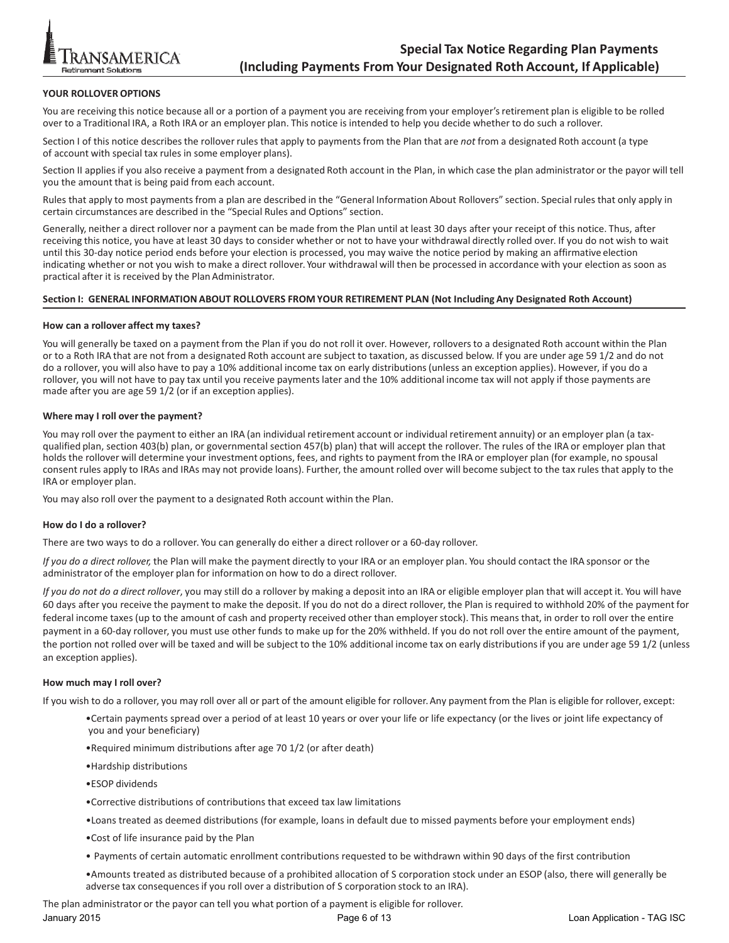

#### **YOUR ROLLOVER OPTIONS**

You are receiving this notice because all or a portion of a payment you are receiving from your employer's retirement plan is eligible to be rolled over to a Traditional IRA, a Roth IRA or an employer plan. This notice is intended to help you decide whether to do such a rollover.

Section I of this notice describes the rollover rules that apply to payments from the Plan that are *not* from a designated Roth account (a type of account with special tax rules in some employer plans).

Section II applies if you also receive a payment from a designated Roth account in the Plan, in which case the plan administrator or the payor will tell you the amount that is being paid from each account.

Rules that apply to most payments from a plan are described in the "General Information About Rollovers" section. Special rules that only apply in certain circumstances are described in the "Special Rules and Options" section.

Generally, neither a direct rollover nor a payment can be made from the Plan until at least 30 days after your receipt of this notice. Thus, after receiving this notice, you have at least 30 days to consider whether or not to have your withdrawal directly rolled over. If you do not wish to wait until this 30‐day notice period ends before your election is processed, you may waive the notice period by making an affirmative election indicating whether or not you wish to make a direct rollover. Your withdrawal will then be processed in accordance with your election as soon as practical after it is received by the Plan Administrator.

#### Section I: GENERAL INFORMATION ABOUT ROLLOVERS FROM YOUR RETIREMENT PLAN (Not Including Any Designated Roth Account)

#### **How can a rollover affect my taxes?**

You will generally be taxed on a payment from the Plan if you do not roll it over. However, rollovers to a designated Roth account within the Plan or to a Roth IRA that are not from a designated Roth account are subject to taxation, as discussed below. If you are under age 59 1/2 and do not do a rollover, you will also have to pay a 10% additional income tax on early distributions (unless an exception applies). However, if you do a rollover, you will not have to pay tax until you receive paymentslater and the 10% additional income tax will not apply if those payments are made after you are age 59 1/2 (or if an exception applies).

#### **Where may I roll over the payment?**

You may roll over the payment to either an IRA (an individual retirement account or individual retirement annuity) or an employer plan (a taxqualified plan, section 403(b) plan, or governmental section 457(b) plan) that will accept the rollover. The rules of the IRA or employer plan that holds the rollover will determine your investment options, fees, and rights to payment from the IRA or employer plan (for example, no spousal consent rules apply to IRAs and IRAs may not provide loans). Further, the amount rolled over will become subject to the tax rules that apply to the IRA or employer plan.

You may also roll over the payment to a designated Roth account within the Plan.

#### **How do I do a rollover?**

There are two ways to do a rollover. You can generally do either a direct rollover or a 60‐day rollover.

*If you do a direct rollover,* the Plan will make the payment directly to your IRA or an employer plan. You should contact the IRA sponsor or the administrator of the employer plan for information on how to do a direct rollover.

*If you do not do a direct rollover*, you may still do a rollover by making a deposit into an IRA or eligible employer plan that will accept it. You will have 60 days after you receive the payment to make the deposit. If you do not do a direct rollover, the Plan is required to withhold 20% of the payment for federal income taxes (up to the amount of cash and property received other than employerstock). This means that, in order to roll over the entire payment in a 60‐day rollover, you must use other funds to make up for the 20% withheld. If you do not roll over the entire amount of the payment, the portion not rolled over will be taxed and will be subject to the 10% additional income tax on early distributionsif you are under age 59 1/2 (unless an exception applies).

#### **How much may I roll over?**

If you wish to do a rollover, you may roll over all or part of the amount eligible for rollover.Any payment from the Plan is eligible for rollover, except:

- •Certain payments spread over a period of at least 10 years or over your life or life expectancy (or the lives or joint life expectancy of you and your beneficiary)
- •Required minimum distributions after age 70 1/2 (or after death)
- •Hardship distributions
- •ESOP dividends
- •Corrective distributions of contributions that exceed tax law limitations
- •Loans treated as deemed distributions (for example, loans in default due to missed payments before your employment ends)
- •Cost of life insurance paid by the Plan
- Payments of certain automatic enrollment contributions requested to be withdrawn within 90 days of the first contribution
- •Amounts treated as distributed because of a prohibited allocation of S corporation stock under an ESOP (also, there will generally be adverse tax consequencesif you roll over a distribution of S corporation stock to an IRA).

The plan administrator or the payor can tell you what portion of a payment is eligible for rollover.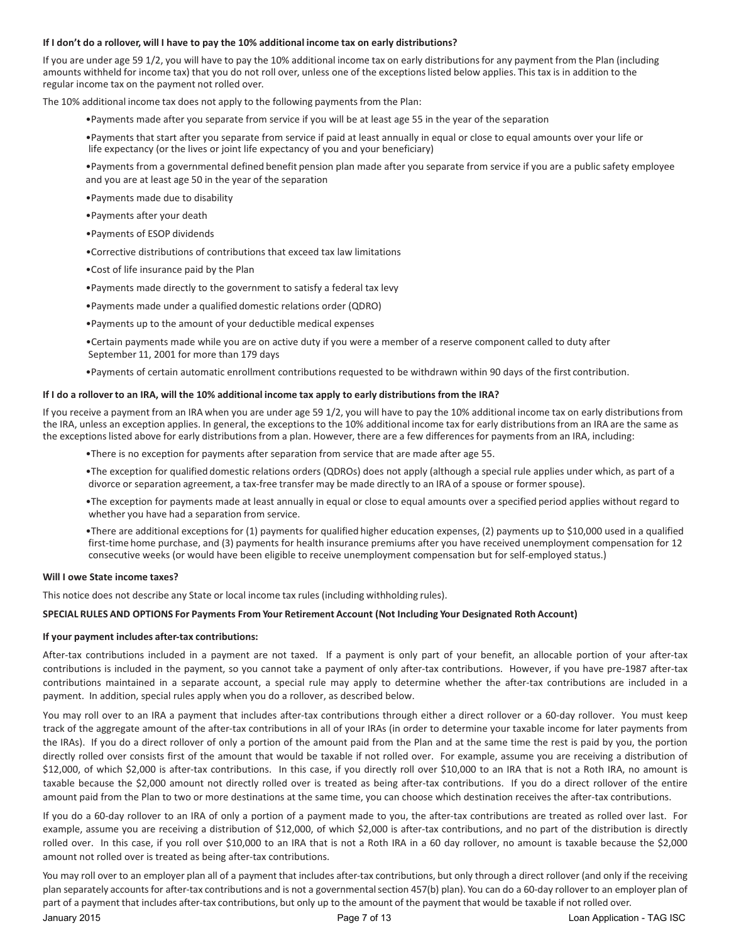#### If I don't do a rollover, will I have to pay the 10% additional income tax on early distributions?

If you are under age 59 1/2, you will have to pay the 10% additional income tax on early distributionsfor any payment from the Plan (including amounts withheld for income tax) that you do not roll over, unless one of the exceptionslisted below applies. This tax is in addition to the regular income tax on the payment not rolled over.

The 10% additional income tax does not apply to the following paymentsfrom the Plan:

•Payments made after you separate from service if you will be at least age 55 in the year of the separation

•Payments that start after you separate from service if paid at least annually in equal or close to equal amounts over your life or life expectancy (or the lives or joint life expectancy of you and your beneficiary)

•Payments from a governmental defined benefit pension plan made after you separate from service if you are a public safety employee and you are at least age 50 in the year of the separation

- •Payments made due to disability
- •Payments after your death
- •Payments of ESOP dividends
- •Corrective distributions of contributions that exceed tax law limitations
- •Cost of life insurance paid by the Plan
- •Payments made directly to the government to satisfy a federal tax levy
- •Payments made under a qualified domestic relations order (QDRO)
- •Payments up to the amount of your deductible medical expenses
- •Certain payments made while you are on active duty if you were a member of a reserve component called to duty after September 11, 2001 for more than 179 days
- •Payments of certain automatic enrollment contributions requested to be withdrawn within 90 days of the first contribution.

#### If I do a rollover to an IRA, will the 10% additional income tax apply to early distributions from the IRA?

If you receive a payment from an IRA when you are under age 59 1/2, you will have to pay the 10% additional income tax on early distributions from the IRA, unless an exception applies. In general, the exceptions to the 10% additional income tax for early distributions from an IRA are the same as the exceptions listed above for early distributions from a plan. However, there are a few differences for payments from an IRA, including:

- •There is no exception for payments after separation from service that are made after age 55.
- •The exception for qualified domestic relations orders (QDROs) does not apply (although a special rule applies under which, as part of a divorce or separation agreement, a tax‐free transfer may be made directly to an IRA of a spouse or former spouse).
- •The exception for payments made at least annually in equal or close to equal amounts over a specified period applies without regard to whether you have had a separation from service.
- •There are additional exceptions for (1) payments for qualified higher education expenses, (2) payments up to \$10,000 used in a qualified first-time home purchase, and (3) payments for health insurance premiums after you have received unemployment compensation for 12 consecutive weeks (or would have been eligible to receive unemployment compensation but for self-employed status.)

#### **Will I owe State income taxes?**

This notice does not describe any State or local income tax rules (including withholding rules).

#### **SPECIAL RULES AND OPTIONS For Payments From Your Retirement Account (Not Including Your Designated Roth Account)**

#### **If your payment includes after‐tax contributions:**

After-tax contributions included in a payment are not taxed. If a payment is only part of your benefit, an allocable portion of your after-tax contributions is included in the payment, so you cannot take a payment of only after‐tax contributions. However, if you have pre‐1987 after‐tax contributions maintained in a separate account, a special rule may apply to determine whether the after-tax contributions are included in a payment. In addition, special rules apply when you do a rollover, as described below.

You may roll over to an IRA a payment that includes after‐tax contributions through either a direct rollover or a 60‐day rollover. You must keep track of the aggregate amount of the after‐tax contributions in all of your IRAs (in order to determine your taxable income for later payments from the IRAs). If you do a direct rollover of only a portion of the amount paid from the Plan and at the same time the rest is paid by you, the portion directly rolled over consists first of the amount that would be taxable if not rolled over. For example, assume you are receiving a distribution of \$12,000, of which \$2,000 is after-tax contributions. In this case, if you directly roll over \$10,000 to an IRA that is not a Roth IRA, no amount is taxable because the \$2,000 amount not directly rolled over is treated as being after-tax contributions. If you do a direct rollover of the entire amount paid from the Plan to two or more destinations at the same time, you can choose which destination receives the after‐tax contributions.

If you do a 60-day rollover to an IRA of only a portion of a payment made to you, the after-tax contributions are treated as rolled over last. For example, assume you are receiving a distribution of \$12,000, of which \$2,000 is after-tax contributions, and no part of the distribution is directly rolled over. In this case, if you roll over \$10,000 to an IRA that is not a Roth IRA in a 60 day rollover, no amount is taxable because the \$2,000 amount not rolled over is treated as being after-tax contributions.

You may roll over to an employer plan all of a payment that includes after-tax contributions, but only through a direct rollover (and only if the receiving plan separately accounts for after-tax contributions and is not a governmental section 457(b) plan). You can do a 60-day rollover to an employer plan of part of a payment that includes after-tax contributions, but only up to the amount of the payment that would be taxable if not rolled over.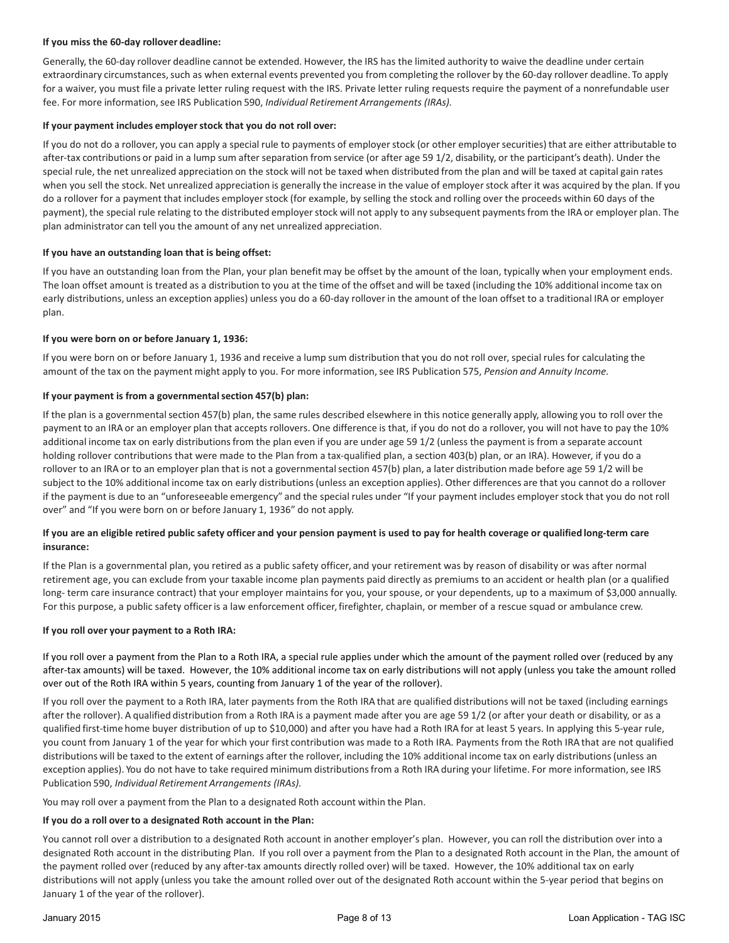#### **If you miss the 60‐day rollover deadline:**

Generally, the 60‐day rollover deadline cannot be extended. However, the IRS has the limited authority to waive the deadline under certain extraordinary circumstances, such as when external events prevented you from completing the rollover by the 60-day rollover deadline. To apply for a waiver, you must file a private letter ruling request with the IRS. Private letter ruling requests require the payment of a nonrefundable user fee. For more information,see IRS Publication 590, *Individual Retirement Arrangements (IRAs).*

#### **If your payment includes employerstock that you do not roll over:**

If you do not do a rollover, you can apply a special rule to payments of employerstock (or other employersecurities) that are either attributable to after-tax contributions or paid in a lump sum after separation from service (or after age 59 1/2, disability, or the participant's death). Under the special rule, the net unrealized appreciation on the stock will not be taxed when distributed from the plan and will be taxed at capital gain rates when you sell the stock. Net unrealized appreciation is generally the increase in the value of employerstock after it was acquired by the plan. If you do a rollover for a payment that includes employer stock (for example, by selling the stock and rolling over the proceeds within 60 days of the payment), the special rule relating to the distributed employer stock will not apply to any subsequent payments from the IRA or employer plan. The plan administrator can tell you the amount of any net unrealized appreciation.

#### **If you have an outstanding loan that is being offset:**

If you have an outstanding loan from the Plan, your plan benefit may be offset by the amount of the loan, typically when your employment ends. The loan offset amount is treated as a distribution to you at the time of the offset and will be taxed (including the 10% additional income tax on early distributions, unless an exception applies) unless you do a 60‐day rollover in the amount of the loan offset to a traditional IRA or employer plan.

#### **If you were born on or before January 1, 1936:**

If you were born on or before January 1, 1936 and receive a lump sum distribution that you do not roll over, special rules for calculating the amount of the tax on the payment might apply to you. For more information, see IRS Publication 575, *Pension and Annuity Income.* 

#### **If your payment is from a governmentalsection 457(b) plan:**

If the plan is a governmental section 457(b) plan, the same rules described elsewhere in this notice generally apply, allowing you to roll over the payment to an IRA or an employer plan that accepts rollovers. One difference is that, if you do not do a rollover, you will not have to pay the 10% additional income tax on early distributionsfrom the plan even if you are under age 59 1/2 (unless the payment is from a separate account holding rollover contributions that were made to the Plan from a tax-qualified plan, a section 403(b) plan, or an IRA). However, if you do a rollover to an IRA or to an employer plan that is not a governmentalsection 457(b) plan, a later distribution made before age 59 1/2 will be subject to the 10% additional income tax on early distributions(unless an exception applies). Other differences are that you cannot do a rollover if the payment is due to an "unforeseeable emergency" and the special rules under "If your payment includes employerstock that you do not roll over" and "If you were born on or before January 1, 1936" do not apply.

#### If you are an eligible retired public safety officer and your pension payment is used to pay for health coverage or qualified long-term care **insurance:**

If the Plan is a governmental plan, you retired as a public safety officer, and your retirement was by reason of disability or was after normal retirement age, you can exclude from your taxable income plan payments paid directly as premiums to an accident or health plan (or a qualified long-term care insurance contract) that your employer maintains for you, your spouse, or your dependents, up to a maximum of \$3,000 annually. For this purpose, a public safety officer is a law enforcement officer, firefighter, chaplain, or member of a rescue squad or ambulance crew.

#### **If you roll over your payment to a Roth IRA:**

If you roll over a payment from the Plan to a Roth IRA, a special rule applies under which the amount of the payment rolled over (reduced by any after-tax amounts) will be taxed. However, the 10% additional income tax on early distributions will not apply (unless you take the amount rolled over out of the Roth IRA within 5 years, counting from January 1 of the year of the rollover).

If you roll over the payment to a Roth IRA, later payments from the Roth IRA that are qualified distributions will not be taxed (including earnings after the rollover). A qualified distribution from a Roth IRA is a payment made after you are age 59 1/2 (or after your death or disability, or as a qualified first‐time home buyer distribution of up to \$10,000) and after you have had a Roth IRA for at least 5 years. In applying this 5‐year rule, you count from January 1 of the year for which your first contribution was made to a Roth IRA. Payments from the Roth IRA that are not qualified distributions will be taxed to the extent of earnings after the rollover, including the 10% additional income tax on early distributions (unless an exception applies). You do not have to take required minimum distributions from a Roth IRA during your lifetime. For more information, see IRS Publication 590, *Individual Retirement Arrangements (IRAs).*

You may roll over a payment from the Plan to a designated Roth account within the Plan.

#### **If you do a roll over to a designated Roth account in the Plan:**

You cannot roll over a distribution to a designated Roth account in another employer's plan. However, you can roll the distribution over into a designated Roth account in the distributing Plan. If you roll over a payment from the Plan to a designated Roth account in the Plan, the amount of the payment rolled over (reduced by any after‐tax amounts directly rolled over) will be taxed. However, the 10% additional tax on early distributions will not apply (unless you take the amount rolled over out of the designated Roth account within the 5‐year period that begins on January 1 of the year of the rollover).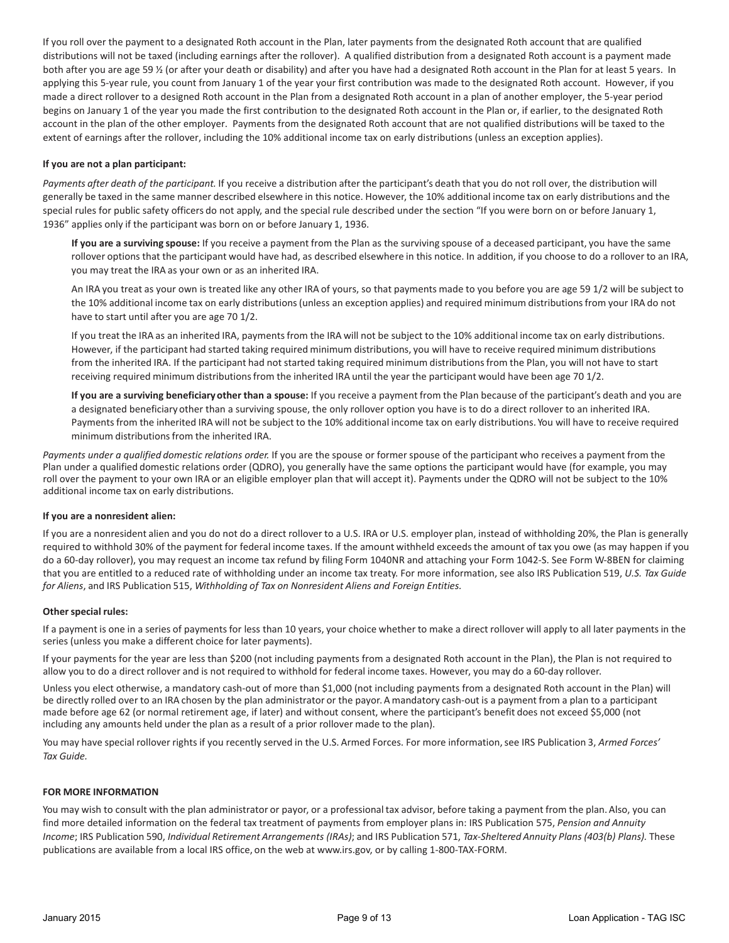If you roll over the payment to a designated Roth account in the Plan, later payments from the designated Roth account that are qualified distributions will not be taxed (including earnings after the rollover). A qualified distribution from a designated Roth account is a payment made both after you are age 59 ½ (or after your death or disability) and after you have had a designated Roth account in the Plan for at least 5 years. In applying this 5-year rule, you count from January 1 of the year your first contribution was made to the designated Roth account. However, if you made a direct rollover to a designed Roth account in the Plan from a designated Roth account in a plan of another employer, the 5‐year period begins on January 1 of the year you made the first contribution to the designated Roth account in the Plan or, if earlier, to the designated Roth account in the plan of the other employer. Payments from the designated Roth account that are not qualified distributions will be taxed to the extent of earnings after the rollover, including the 10% additional income tax on early distributions (unless an exception applies).

#### **If you are not a plan participant:**

*Payments after death of the participant.* If you receive a distribution after the participant's death that you do not roll over, the distribution will generally be taxed in the same manner described elsewhere in this notice. However, the 10% additional income tax on early distributions and the special rules for public safety officers do not apply, and the special rule described under the section "If you were born on or before January 1, 1936" applies only if the participant was born on or before January 1, 1936.

**If you are a surviving spouse:** If you receive a payment from the Plan as the surviving spouse of a deceased participant, you have the same rollover options that the participant would have had, as described elsewhere in this notice. In addition, if you choose to do a rollover to an IRA, you may treat the IRA as your own or as an inherited IRA.

An IRA you treat as your own is treated like any other IRA of yours, so that payments made to you before you are age 59 1/2 will be subject to the 10% additional income tax on early distributions(unless an exception applies) and required minimum distributionsfrom your IRA do not have to start until after you are age 70 1/2.

If you treat the IRA as an inherited IRA, payments from the IRA will not be subject to the 10% additional income tax on early distributions. However, if the participant had started taking required minimum distributions, you will have to receive required minimum distributions from the inherited IRA. If the participant had not started taking required minimum distributionsfrom the Plan, you will not have to start receiving required minimum distributionsfrom the inherited IRA until the year the participant would have been age 70 1/2.

**If you are a surviving beneficiary other than a spouse:** If you receive a payment from the Plan because of the participant's death and you are a designated beneficiary other than a surviving spouse, the only rollover option you have is to do a direct rollover to an inherited IRA. Paymentsfrom the inherited IRA will not be subject to the 10% additional income tax on early distributions. You will have to receive required minimum distributions from the inherited IRA.

*Payments under a qualified domestic relations order.* If you are the spouse or former spouse of the participant who receives a payment from the Plan under a qualified domestic relations order (QDRO), you generally have the same options the participant would have (for example, you may roll over the payment to your own IRA or an eligible employer plan that will accept it). Payments under the QDRO will not be subject to the 10% additional income tax on early distributions.

#### **If you are a nonresident alien:**

If you are a nonresident alien and you do not do a direct rollover to a U.S. IRA or U.S. employer plan, instead of withholding 20%, the Plan is generally required to withhold 30% of the payment for federal income taxes. If the amount withheld exceedsthe amount of tax you owe (as may happen if you do a 60‐day rollover), you may request an income tax refund by filing Form 1040NR and attaching your Form 1042‐S. See Form W‐8BEN for claiming that you are entitled to a reduced rate of withholding under an income tax treaty. For more information, see also IRS Publication 519, *U.S. Tax Guide for Aliens*, and IRS Publication 515, *Withholding of Tax on Nonresident Aliens and Foreign Entities.*

#### **Other special rules:**

If a payment is one in a series of payments for less than 10 years, your choice whether to make a direct rollover will apply to all later payments in the series (unless you make a different choice for later payments).

If your payments for the year are less than \$200 (not including payments from a designated Roth account in the Plan), the Plan is not required to allow you to do a direct rollover and is not required to withhold for federal income taxes. However, you may do a 60‐day rollover.

Unless you elect otherwise, a mandatory cash-out of more than \$1,000 (not including payments from a designated Roth account in the Plan) will be directly rolled over to an IRA chosen by the plan administrator or the payor. A mandatory cash-out is a payment from a plan to a participant made before age 62 (or normal retirement age, if later) and without consent, where the participant's benefit does not exceed \$5,000 (not including any amounts held under the plan as a result of a prior rollover made to the plan).

You may have special rollover rights if you recently served in the U.S. Armed Forces. For more information, see IRS Publication 3, Armed Forces' *Tax Guide.*

#### **FOR MORE INFORMATION**

You may wish to consult with the plan administrator or payor, or a professional tax advisor, before taking a payment from the plan. Also, you can find more detailed information on the federal tax treatment of payments from employer plans in: IRS Publication 575, *Pension and Annuity* Income; IRS Publication 590, Individual Retirement Arrangements (IRAs); and IRS Publication 571, Tax-Sheltered Annuity Plans (403(b) Plans). These publications are available from a local IRS office, on the web at www.irs.gov, or by calling 1‐800‐TAX‐FORM.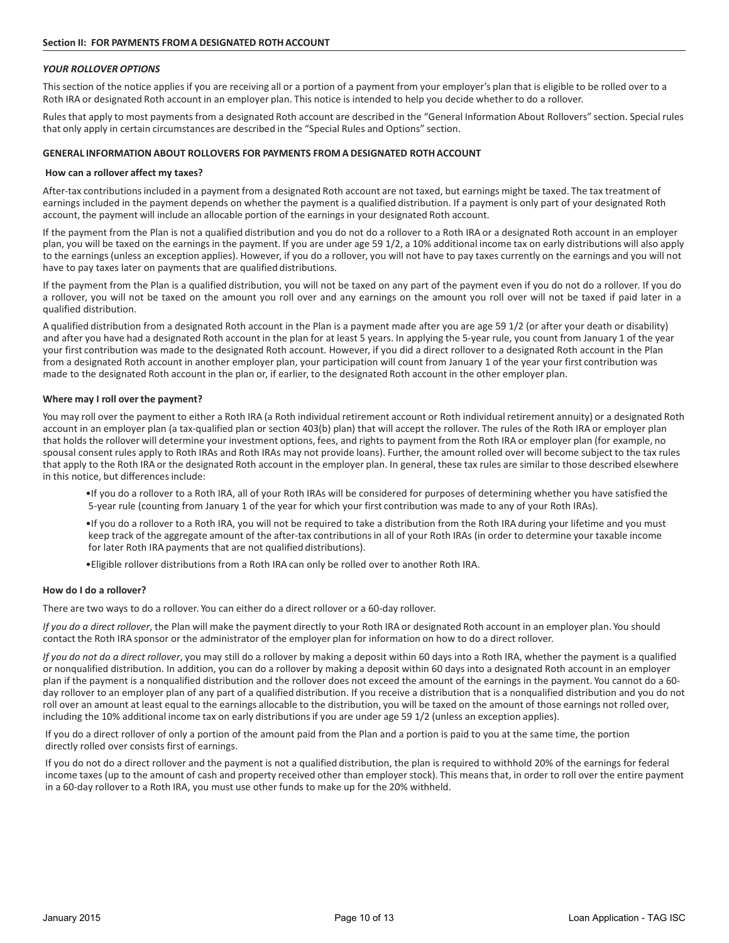#### *YOUR ROLLOVER OPTIONS*

This section of the notice applies if you are receiving all or a portion of a payment from your employer's plan that is eligible to be rolled over to a Roth IRA or designated Roth account in an employer plan. This notice is intended to help you decide whether to do a rollover.

Rules that apply to most payments from a designated Roth account are described in the "General Information About Rollovers" section. Special rules that only apply in certain circumstances are described in the "Special Rules and Options" section.

#### **GENERAL INFORMATION ABOUT ROLLOVERS FOR PAYMENTS FROMA DESIGNATED ROTHACCOUNT**

#### **How can a rollover affect my taxes?**

After-tax contributions included in a payment from a designated Roth account are not taxed, but earnings might be taxed. The tax treatment of earnings included in the payment depends on whether the payment is a qualified distribution. If a payment is only part of your designated Roth account, the payment will include an allocable portion of the earnings in your designated Roth account.

If the payment from the Plan is not a qualified distribution and you do not do a rollover to a Roth IRA or a designated Roth account in an employer plan, you will be taxed on the earningsin the payment. If you are under age 59 1/2, a 10% additional income tax on early distributions will also apply to the earnings(unless an exception applies). However, if you do a rollover, you will not have to pay taxes currently on the earnings and you will not have to pay taxes later on payments that are qualified distributions.

If the payment from the Plan is a qualified distribution, you will not be taxed on any part of the payment even if you do not do a rollover. If you do a rollover, you will not be taxed on the amount you roll over and any earnings on the amount you roll over will not be taxed if paid later in a qualified distribution.

A qualified distribution from a designated Roth account in the Plan is a payment made after you are age 59 1/2 (or after your death or disability) and after you have had a designated Roth account in the plan for at least 5 years. In applying the 5-year rule, you count from January 1 of the year your first contribution was made to the designated Roth account. However, if you did a direct rollover to a designated Roth account in the Plan from a designated Roth account in another employer plan, your participation will count from January 1 of the year your first contribution was made to the designated Roth account in the plan or, if earlier, to the designated Roth account in the other employer plan.

#### **Where may I roll over the payment?**

You may roll over the payment to either a Roth IRA (a Roth individual retirement account or Roth individual retirement annuity) or a designated Roth account in an employer plan (a tax-qualified plan or section 403(b) plan) that will accept the rollover. The rules of the Roth IRA or employer plan that holds the rollover will determine your investment options, fees, and rights to payment from the Roth IRA or employer plan (for example, no spousal consent rules apply to Roth IRAs and Roth IRAs may not provide loans). Further, the amount rolled over will become subject to the tax rules that apply to the Roth IRA or the designated Roth account in the employer plan. In general, these tax rules are similar to those described elsewhere in this notice, but differences include:

- •If you do a rollover to a Roth IRA, all of your Roth IRAs will be considered for purposes of determining whether you have satisfied the 5‐year rule (counting from January 1 of the year for which your first contribution was made to any of your Roth IRAs).
- •If you do a rollover to a Roth IRA, you will not be required to take a distribution from the Roth IRA during your lifetime and you must keep track of the aggregate amount of the after-tax contributions in all of your Roth IRAs (in order to determine your taxable income for later Roth IRA payments that are not qualified distributions).
- •Eligible rollover distributions from a Roth IRA can only be rolled over to another Roth IRA.

#### **How do I do a rollover?**

There are two ways to do a rollover. You can either do a direct rollover or a 60-day rollover.

*If you do a direct rollover*, the Plan will make the payment directly to your Roth IRA or designated Roth account in an employer plan. You should contact the Roth IRA sponsor or the administrator of the employer plan for information on how to do a direct rollover.

*If you do not do a direct rollover*, you may still do a rollover by making a deposit within 60 days into a Roth IRA, whether the payment is a qualified or nonqualified distribution. In addition, you can do a rollover by making a deposit within 60 days into a designated Roth account in an employer plan if the payment is a nonqualified distribution and the rollover does not exceed the amount of the earnings in the payment. You cannot do a 60‐ day rollover to an employer plan of any part of a qualified distribution. If you receive a distribution that is a nonqualified distribution and you do not roll over an amount at least equal to the earnings allocable to the distribution, you will be taxed on the amount of those earnings not rolled over, including the 10% additional income tax on early distributionsif you are under age 59 1/2 (unless an exception applies).

If you do a direct rollover of only a portion of the amount paid from the Plan and a portion is paid to you at the same time, the portion directly rolled over consists first of earnings.

If you do not do a direct rollover and the payment is not a qualified distribution, the plan is required to withhold 20% of the earnings for federal income taxes (up to the amount of cash and property received other than employerstock). This means that, in order to roll over the entire payment in a 60‐day rollover to a Roth IRA, you must use other funds to make up for the 20% withheld.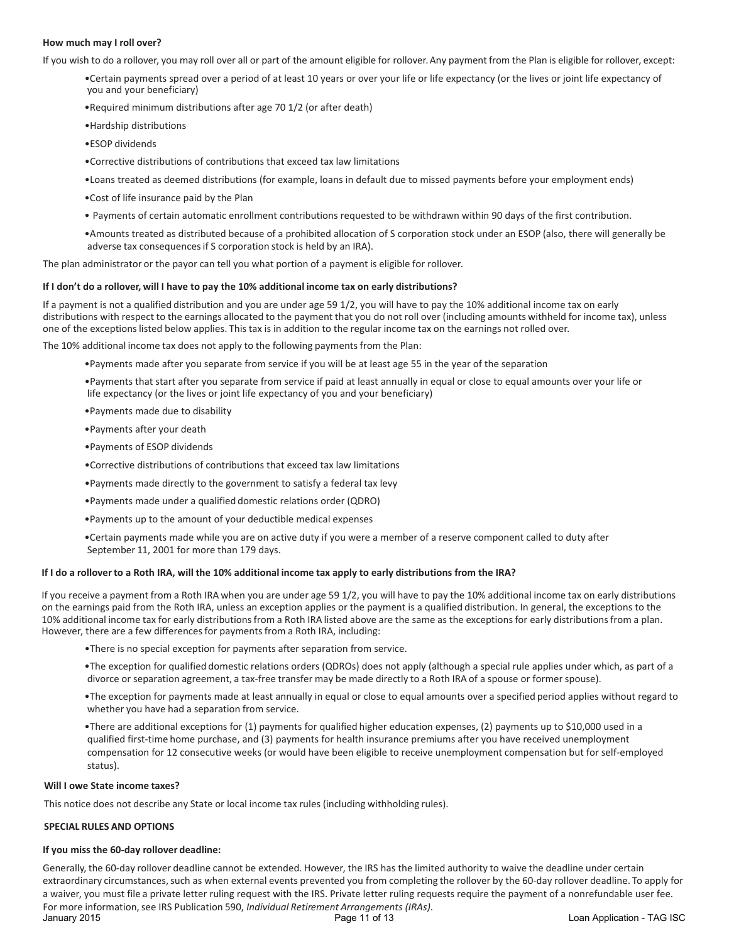#### **How much may I roll over?**

If you wish to do a rollover, you may roll over all or part of the amount eligible for rollover.Any payment from the Plan is eligible for rollover, except:

•Certain payments spread over a period of at least 10 years or over your life or life expectancy (or the lives or joint life expectancy of you and your beneficiary)

•Required minimum distributions after age 70 1/2 (or after death)

- •Hardship distributions
- •ESOP dividends
- •Corrective distributions of contributions that exceed tax law limitations
- •Loans treated as deemed distributions (for example, loans in default due to missed payments before your employment ends)
- •Cost of life insurance paid by the Plan
- Payments of certain automatic enrollment contributions requested to be withdrawn within 90 days of the first contribution.
- •Amounts treated as distributed because of a prohibited allocation of S corporation stock under an ESOP (also, there will generally be adverse tax consequencesif S corporation stock is held by an IRA).

The plan administrator or the payor can tell you what portion of a payment is eligible for rollover.

#### If I don't do a rollover, will I have to pay the 10% additional income tax on early distributions?

If a payment is not a qualified distribution and you are under age 59 1/2, you will have to pay the 10% additional income tax on early distributions with respect to the earnings allocated to the payment that you do not roll over (including amounts withheld for income tax), unless one of the exceptionslisted below applies. This tax is in addition to the regular income tax on the earnings not rolled over.

The 10% additional income tax does not apply to the following payments from the Plan:

- •Payments made after you separate from service if you will be at least age 55 in the year of the separation
- •Payments that start after you separate from service if paid at least annually in equal or close to equal amounts over your life or life expectancy (or the lives or joint life expectancy of you and your beneficiary)
- •Payments made due to disability
- •Payments after your death
- •Payments of ESOP dividends
- •Corrective distributions of contributions that exceed tax law limitations
- •Payments made directly to the government to satisfy a federal tax levy
- •Payments made under a qualified domestic relations order (QDRO)
- •Payments up to the amount of your deductible medical expenses
- •Certain payments made while you are on active duty if you were a member of a reserve component called to duty after September 11, 2001 for more than 179 days.

#### If I do a rollover to a Roth IRA, will the 10% additional income tax apply to early distributions from the IRA?

If you receive a payment from a Roth IRA when you are under age 59 1/2, you will have to pay the 10% additional income tax on early distributions on the earnings paid from the Roth IRA, unless an exception applies or the payment is a qualified distribution. In general, the exceptions to the 10% additional income tax for early distributions from a Roth IRA listed above are the same as the exceptions for early distributions from a plan. However, there are a few differences for payments from a Roth IRA, including:

- •There is no special exception for payments after separation from service.
- •The exception for qualified domestic relations orders (QDROs) does not apply (although a special rule applies under which, as part of a divorce or separation agreement, a tax‐free transfer may be made directly to a Roth IRA of a spouse or former spouse).
- •The exception for payments made at least annually in equal or close to equal amounts over a specified period applies without regard to whether you have had a separation from service.
- •There are additional exceptions for (1) payments for qualified higher education expenses, (2) payments up to \$10,000 used in a qualified first‐time home purchase, and (3) payments for health insurance premiums after you have received unemployment compensation for 12 consecutive weeks (or would have been eligible to receive unemployment compensation but for self-employed status).

#### **Will I owe State income taxes?**

This notice does not describe any State or local income tax rules (including withholding rules).

#### **SPECIAL RULES AND OPTIONS**

#### **If you miss the 60‐day rollover deadline:**

Generally, the 60-day rollover deadline cannot be extended. However, the IRS has the limited authority to waive the deadline under certain extraordinary circumstances, such as when external events prevented you from completing the rollover by the 60-day rollover deadline. To apply for a waiver, you must file a private letter ruling request with the IRS. Private letter ruling requests require the payment of a nonrefundable user fee. For more information, see IRS Publication 590, *Individual Retirement Arrangements (IRAs)*.<br>January 2015 - 2015 Loan Application - TAG ISC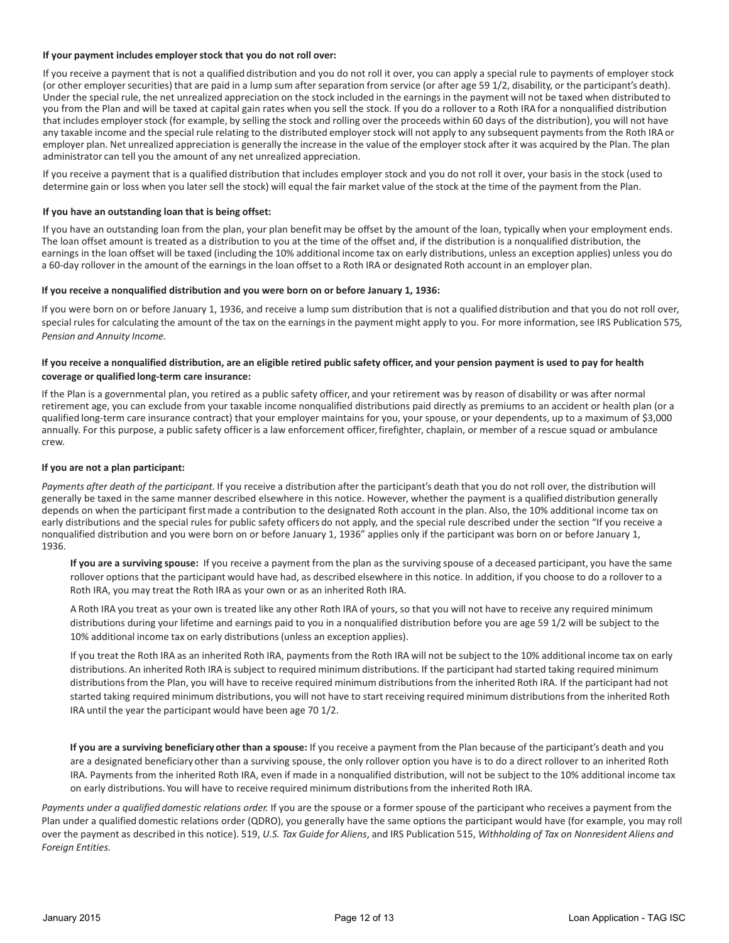#### **If your payment includes employerstock that you do not roll over:**

If you receive a payment that is not a qualified distribution and you do not roll it over, you can apply a special rule to payments of employer stock (or other employer securities) that are paid in a lump sum after separation from service (or after age 59 1/2, disability, or the participant's death). Under the special rule, the net unrealized appreciation on the stock included in the earningsin the payment will not be taxed when distributed to you from the Plan and will be taxed at capital gain rates when you sell the stock. If you do a rollover to a Roth IRA for a nonqualified distribution that includes employer stock (for example, by selling the stock and rolling over the proceeds within 60 days of the distribution), you will not have any taxable income and the special rule relating to the distributed employer stock will not apply to any subsequent payments from the Roth IRA or employer plan. Net unrealized appreciation is generally the increase in the value of the employer stock after it was acquired by the Plan. The plan administrator can tell you the amount of any net unrealized appreciation.

If you receive a payment that is a qualified distribution that includes employer stock and you do not roll it over, your basis in the stock (used to determine gain or loss when you later sell the stock) will equal the fair market value of the stock at the time of the payment from the Plan.

#### **If you have an outstanding loan that is being offset:**

If you have an outstanding loan from the plan, your plan benefit may be offset by the amount of the loan, typically when your employment ends. The loan offset amount is treated as a distribution to you at the time of the offset and, if the distribution is a nonqualified distribution, the earnings in the loan offset will be taxed (including the 10% additional income tax on early distributions, unless an exception applies) unless you do a 60-day rollover in the amount of the earnings in the loan offset to a Roth IRA or designated Roth account in an employer plan.

#### **If you receive a nonqualified distribution and you were born on or before January 1, 1936:**

If you were born on or before January 1, 1936, and receive a lump sum distribution that is not a qualified distribution and that you do not roll over, special rules for calculating the amount of the tax on the earningsin the payment might apply to you. For more information,see IRS Publication 575*, Pension and Annuity Income.*

#### If you receive a nonqualified distribution, are an eligible retired public safety officer, and your pension payment is used to pay for health **coverage or qualified long‐term care insurance:**

If the Plan is a governmental plan, you retired as a public safety officer, and your retirement was by reason of disability or was after normal retirement age, you can exclude from your taxable income nonqualified distributions paid directly as premiums to an accident or health plan (or a qualified long‐term care insurance contract) that your employer maintains for you, your spouse, or your dependents, up to a maximum of \$3,000 annually. For this purpose, a public safety officer is a law enforcement officer, firefighter, chaplain, or member of a rescue squad or ambulance crew.

#### **If you are not a plan participant:**

*Payments after death of the participant.* If you receive a distribution after the participant's death that you do not roll over, the distribution will generally be taxed in the same manner described elsewhere in this notice. However, whether the payment is a qualified distribution generally depends on when the participant firstmade a contribution to the designated Roth account in the plan. Also, the 10% additional income tax on early distributions and the special rules for public safety officers do not apply, and the special rule described under the section "If you receive a nonqualified distribution and you were born on or before January 1, 1936" applies only if the participant was born on or before January 1, 1936.

**If you are a surviving spouse:** If you receive a payment from the plan as the surviving spouse of a deceased participant, you have the same rollover options that the participant would have had, as described elsewhere in this notice. In addition, if you choose to do a rollover to a Roth IRA, you may treat the Roth IRA as your own or as an inherited Roth IRA.

A Roth IRA you treat as your own is treated like any other Roth IRA of yours, so that you will not have to receive any required minimum distributions during your lifetime and earnings paid to you in a nonqualified distribution before you are age 59 1/2 will be subject to the 10% additional income tax on early distributions(unless an exception applies).

If you treat the Roth IRA as an inherited Roth IRA, payments from the Roth IRA will not be subject to the 10% additional income tax on early distributions. An inherited Roth IRA is subject to required minimum distributions. If the participant had started taking required minimum distributions from the Plan, you will have to receive required minimum distributions from the inherited Roth IRA. If the participant had not started taking required minimum distributions, you will not have to start receiving required minimum distributionsfrom the inherited Roth IRA until the year the participant would have been age 70 1/2.

**If you are a surviving beneficiary other than a spouse:** If you receive a payment from the Plan because of the participant's death and you are a designated beneficiary other than a surviving spouse, the only rollover option you have is to do a direct rollover to an inherited Roth IRA. Payments from the inherited Roth IRA, even if made in a nonqualified distribution, will not be subject to the 10% additional income tax on early distributions. You will have to receive required minimum distributionsfrom the inherited Roth IRA.

*Payments under a qualified domestic relations order.* If you are the spouse or a former spouse of the participant who receives a payment from the Plan under a qualified domestic relations order (QDRO), you generally have the same options the participant would have (for example, you may roll over the payment as described in this notice). 519, U.S. Tax Guide for Aliens, and IRS Publication 515, Withholding of Tax on Nonresident Aliens and *Foreign Entities.*